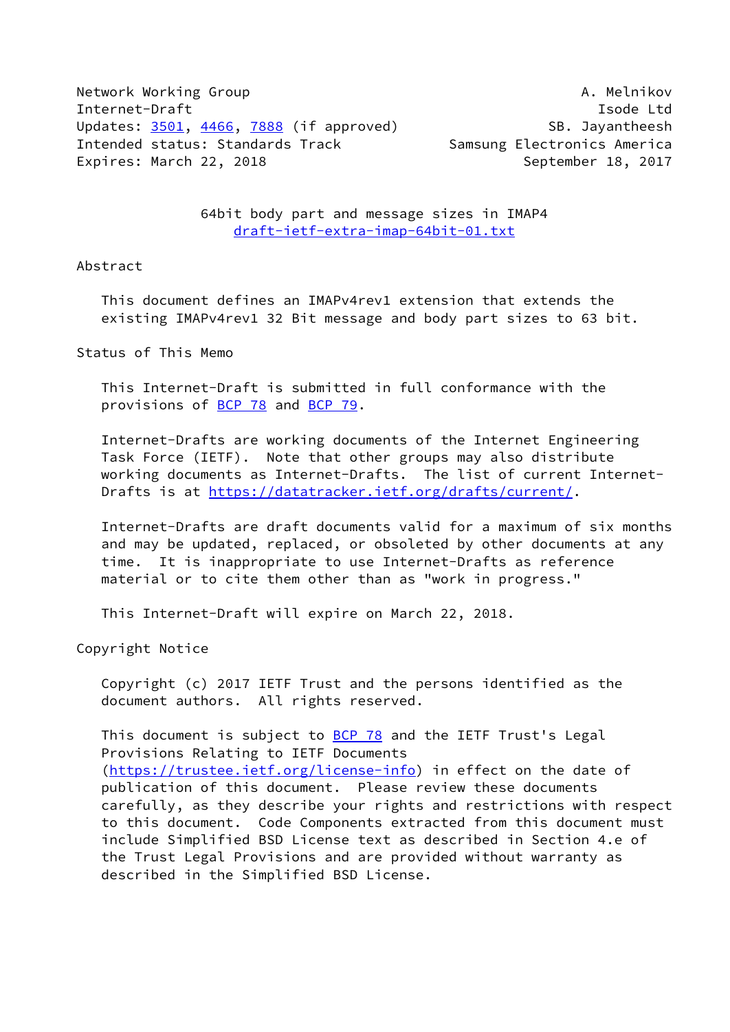Network Working Group **A. Melnikov** A. Melnikov Internet-Draft **Isolat Isom and Isom and Isolat Isolat Isolat Isolat Isolat Isolat Isolat Isolat Isolat Isolat Isolat Isolat Isolat Isolat Isolat Isolat Isolat Isolat Isolat Isolat Isolat Isolat Isolat Isolat Isolat Isolat** Updates: [3501](https://datatracker.ietf.org/doc/pdf/rfc3501), [4466,](https://datatracker.ietf.org/doc/pdf/rfc4466) [7888](https://datatracker.ietf.org/doc/pdf/rfc7888) (if approved) SB. Jayantheesh Intended status: Standards Track Samsung Electronics America Expires: March 22, 2018 **September 18, 2017** 

 64bit body part and message sizes in IMAP4 [draft-ietf-extra-imap-64bit-01.txt](https://datatracker.ietf.org/doc/pdf/draft-ietf-extra-imap-64bit-01.txt)

## Abstract

 This document defines an IMAPv4rev1 extension that extends the existing IMAPv4rev1 32 Bit message and body part sizes to 63 bit.

Status of This Memo

 This Internet-Draft is submitted in full conformance with the provisions of [BCP 78](https://datatracker.ietf.org/doc/pdf/bcp78) and [BCP 79](https://datatracker.ietf.org/doc/pdf/bcp79).

 Internet-Drafts are working documents of the Internet Engineering Task Force (IETF). Note that other groups may also distribute working documents as Internet-Drafts. The list of current Internet- Drafts is at<https://datatracker.ietf.org/drafts/current/>.

 Internet-Drafts are draft documents valid for a maximum of six months and may be updated, replaced, or obsoleted by other documents at any time. It is inappropriate to use Internet-Drafts as reference material or to cite them other than as "work in progress."

This Internet-Draft will expire on March 22, 2018.

Copyright Notice

 Copyright (c) 2017 IETF Trust and the persons identified as the document authors. All rights reserved.

This document is subject to **[BCP 78](https://datatracker.ietf.org/doc/pdf/bcp78)** and the IETF Trust's Legal Provisions Relating to IETF Documents [\(https://trustee.ietf.org/license-info](https://trustee.ietf.org/license-info)) in effect on the date of publication of this document. Please review these documents carefully, as they describe your rights and restrictions with respect to this document. Code Components extracted from this document must include Simplified BSD License text as described in Section 4.e of the Trust Legal Provisions and are provided without warranty as described in the Simplified BSD License.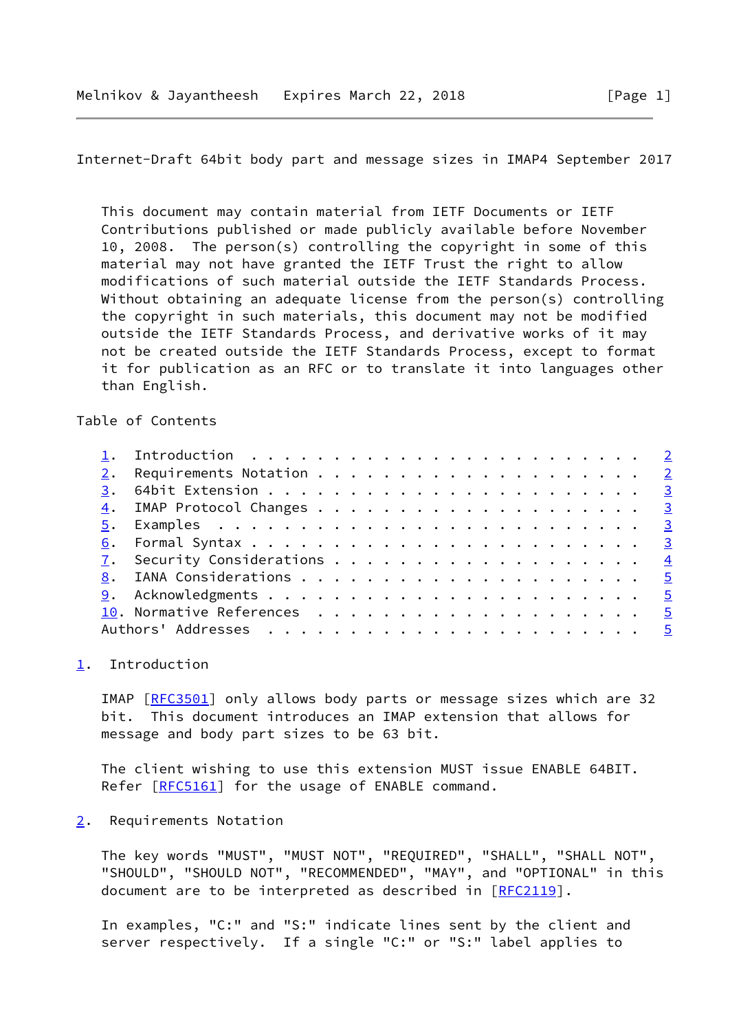<span id="page-1-1"></span>Internet-Draft 64bit body part and message sizes in IMAP4 September 2017

 This document may contain material from IETF Documents or IETF Contributions published or made publicly available before November 10, 2008. The person(s) controlling the copyright in some of this material may not have granted the IETF Trust the right to allow modifications of such material outside the IETF Standards Process. Without obtaining an adequate license from the person(s) controlling the copyright in such materials, this document may not be modified outside the IETF Standards Process, and derivative works of it may not be created outside the IETF Standards Process, except to format it for publication as an RFC or to translate it into languages other than English.

Table of Contents

|  | 1. Introduction $\ldots \ldots \ldots \ldots \ldots \ldots \ldots \ldots \ldots$ |
|--|----------------------------------------------------------------------------------|

## <span id="page-1-0"></span>[1](#page-1-0). Introduction

IMAP [\[RFC3501](https://datatracker.ietf.org/doc/pdf/rfc3501)] only allows body parts or message sizes which are 32 bit. This document introduces an IMAP extension that allows for message and body part sizes to be 63 bit.

 The client wishing to use this extension MUST issue ENABLE 64BIT. Refer [[RFC5161](https://datatracker.ietf.org/doc/pdf/rfc5161)] for the usage of ENABLE command.

## <span id="page-1-2"></span>[2](#page-1-2). Requirements Notation

 The key words "MUST", "MUST NOT", "REQUIRED", "SHALL", "SHALL NOT", "SHOULD", "SHOULD NOT", "RECOMMENDED", "MAY", and "OPTIONAL" in this document are to be interpreted as described in [\[RFC2119](https://datatracker.ietf.org/doc/pdf/rfc2119)].

 In examples, "C:" and "S:" indicate lines sent by the client and server respectively. If a single "C:" or "S:" label applies to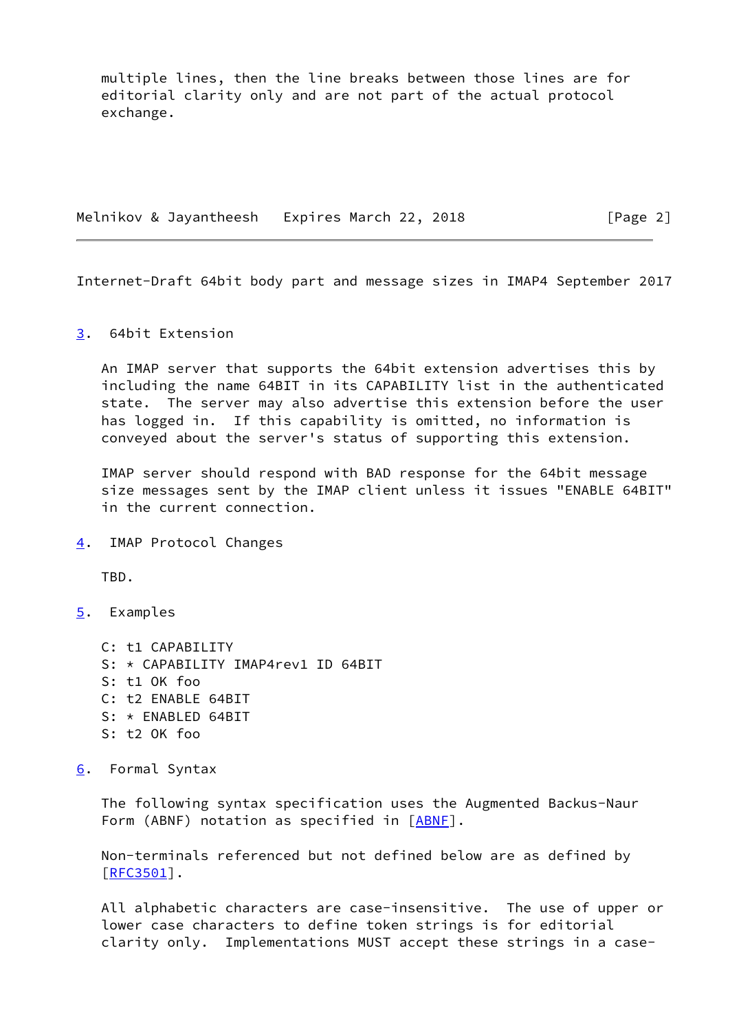multiple lines, then the line breaks between those lines are for editorial clarity only and are not part of the actual protocol exchange.

Melnikov & Jayantheesh Expires March 22, 2018 [Page 2]

<span id="page-2-1"></span>Internet-Draft 64bit body part and message sizes in IMAP4 September 2017

<span id="page-2-0"></span>[3](#page-2-0). 64bit Extension

 An IMAP server that supports the 64bit extension advertises this by including the name 64BIT in its CAPABILITY list in the authenticated state. The server may also advertise this extension before the user has logged in. If this capability is omitted, no information is conveyed about the server's status of supporting this extension.

 IMAP server should respond with BAD response for the 64bit message size messages sent by the IMAP client unless it issues "ENABLE 64BIT" in the current connection.

<span id="page-2-2"></span>[4](#page-2-2). IMAP Protocol Changes

TBD.

<span id="page-2-3"></span>[5](#page-2-3). Examples

 C: t1 CAPABILITY S: \* CAPABILITY IMAP4rev1 ID 64BIT S: t1 OK foo C: t2 ENABLE 64BIT S: \* ENABLED 64BIT S: t2 OK foo

<span id="page-2-4"></span>[6](#page-2-4). Formal Syntax

 The following syntax specification uses the Augmented Backus-Naur Form (ABNF) notation as specified in [\[ABNF](#page-4-5)].

 Non-terminals referenced but not defined below are as defined by [\[RFC3501](https://datatracker.ietf.org/doc/pdf/rfc3501)].

 All alphabetic characters are case-insensitive. The use of upper or lower case characters to define token strings is for editorial clarity only. Implementations MUST accept these strings in a case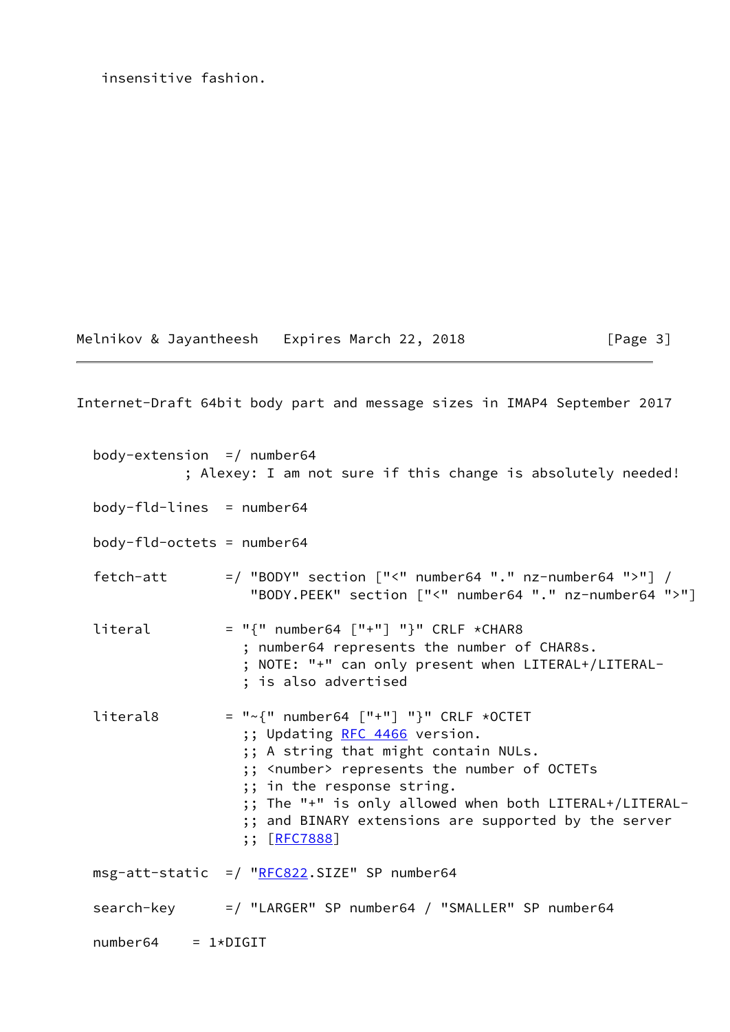insensitive fashion.

Melnikov & Jayantheesh Expires March 22, 2018 [Page 3]

<span id="page-3-0"></span>Internet-Draft 64bit body part and message sizes in IMAP4 September 2017 body-extension  $=$  / number64 ; Alexey: I am not sure if this change is absolutely needed!  $body-fld-lines = number64$  body-fld-octets = number64 fetch-att  $=$  / "BODY" section ["<" number64 "." nz-number64 ">"] / "BODY.PEEK" section ["<" number64 "." nz-number64 ">"] literal  $= "{"$  number64  $["+"] "}"$  CRLF \*CHAR8 ; number64 represents the number of CHAR8s. ; NOTE: "+" can only present when LITERAL+/LITERAL- ; is also advertised literal8 = " $\sim$ {" number64 ["+"] "}" CRLF \*OCTET ;; Updating [RFC 4466](https://datatracker.ietf.org/doc/pdf/rfc4466) version. ;; A string that might contain NULs. ;; <number> represents the number of OCTETs ;; in the response string. ;; The "+" is only allowed when both LITERAL+/LITERAL- ;; and BINARY extensions are supported by the server ;; [\[RFC7888](https://datatracker.ietf.org/doc/pdf/rfc7888)]  $msg-attr-static = / "RFC822.SIZE" SP number64$  $msg-attr-static = / "RFC822.SIZE" SP number64$  $msg-attr-static = / "RFC822.SIZE" SP number64$  search-key =/ "LARGER" SP number64 / "SMALLER" SP number64  $number64 = 1 * DIGIT$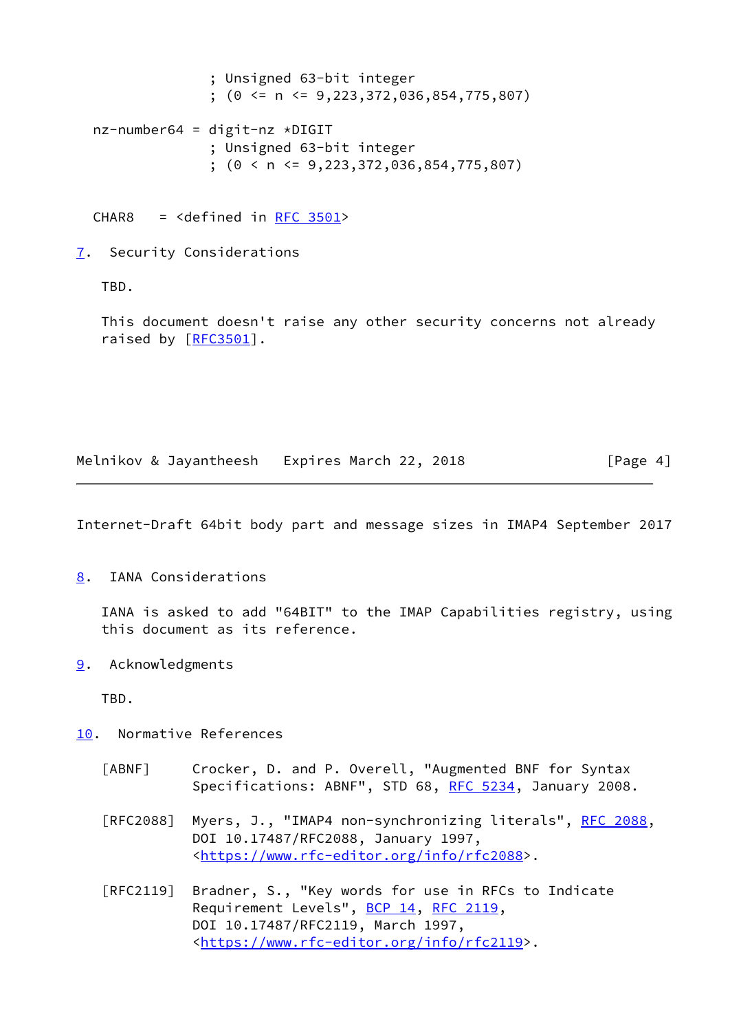```
 ; Unsigned 63-bit integer
                ; (0 <= n <= 9,223,372,036,854,775,807)
 nz-number64 = digit-nz *DIGIT
                ; Unsigned 63-bit integer
                ; (0 < n <= 9,223,372,036,854,775,807)
CHAR8 = \text{cdefined in RFC } 3501
```
<span id="page-4-0"></span>[7](#page-4-0). Security Considerations

TBD.

 This document doesn't raise any other security concerns not already raised by [[RFC3501](https://datatracker.ietf.org/doc/pdf/rfc3501)].

Melnikov & Jayantheesh Expires March 22, 2018 [Page 4]

<span id="page-4-2"></span>Internet-Draft 64bit body part and message sizes in IMAP4 September 2017

<span id="page-4-1"></span>[8](#page-4-1). IANA Considerations

 IANA is asked to add "64BIT" to the IMAP Capabilities registry, using this document as its reference.

<span id="page-4-3"></span>[9](#page-4-3). Acknowledgments

TBD.

- <span id="page-4-5"></span><span id="page-4-4"></span>[10.](#page-4-4) Normative References
	- [ABNF] Crocker, D. and P. Overell, "Augmented BNF for Syntax Specifications: ABNF", STD 68, [RFC 5234](https://datatracker.ietf.org/doc/pdf/rfc5234), January 2008.
	- [RFC2088] Myers, J., "IMAP4 non-synchronizing literals", [RFC 2088](https://datatracker.ietf.org/doc/pdf/rfc2088), DOI 10.17487/RFC2088, January 1997, <[https://www.rfc-editor.org/info/rfc2088>](https://www.rfc-editor.org/info/rfc2088).
	- [RFC2119] Bradner, S., "Key words for use in RFCs to Indicate Requirement Levels", [BCP 14](https://datatracker.ietf.org/doc/pdf/bcp14), [RFC 2119](https://datatracker.ietf.org/doc/pdf/rfc2119), DOI 10.17487/RFC2119, March 1997, <[https://www.rfc-editor.org/info/rfc2119>](https://www.rfc-editor.org/info/rfc2119).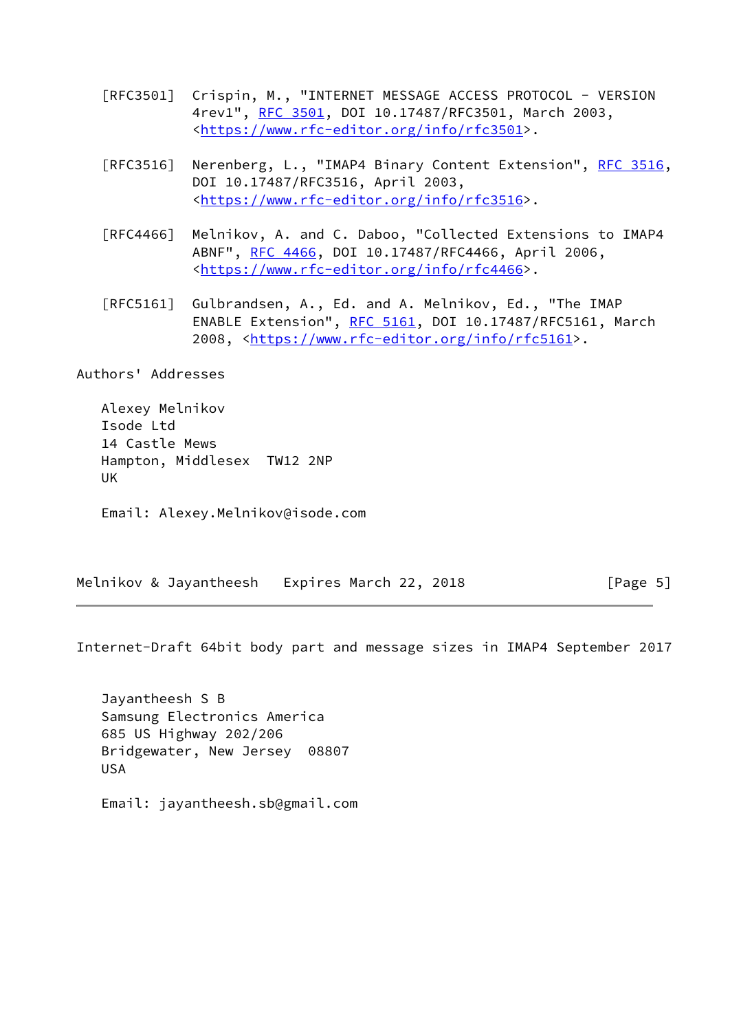- [RFC3501] Crispin, M., "INTERNET MESSAGE ACCESS PROTOCOL VERSION 4rev1", [RFC 3501,](https://datatracker.ietf.org/doc/pdf/rfc3501) DOI 10.17487/RFC3501, March 2003, <[https://www.rfc-editor.org/info/rfc3501>](https://www.rfc-editor.org/info/rfc3501).
- [RFC3516] Nerenberg, L., "IMAP4 Binary Content Extension", [RFC 3516,](https://datatracker.ietf.org/doc/pdf/rfc3516) DOI 10.17487/RFC3516, April 2003, <[https://www.rfc-editor.org/info/rfc3516>](https://www.rfc-editor.org/info/rfc3516).
- [RFC4466] Melnikov, A. and C. Daboo, "Collected Extensions to IMAP4 ABNF", [RFC 4466](https://datatracker.ietf.org/doc/pdf/rfc4466), DOI 10.17487/RFC4466, April 2006, <[https://www.rfc-editor.org/info/rfc4466>](https://www.rfc-editor.org/info/rfc4466).
- [RFC5161] Gulbrandsen, A., Ed. and A. Melnikov, Ed., "The IMAP ENABLE Extension", [RFC 5161](https://datatracker.ietf.org/doc/pdf/rfc5161), DOI 10.17487/RFC5161, March 2008, [<https://www.rfc-editor.org/info/rfc5161](https://www.rfc-editor.org/info/rfc5161)>.

Authors' Addresses

 Alexey Melnikov Isode Ltd 14 Castle Mews Hampton, Middlesex TW12 2NP UK

Email: Alexey.Melnikov@isode.com

Melnikov & Jayantheesh Expires March 22, 2018 [Page 5]

Internet-Draft 64bit body part and message sizes in IMAP4 September 2017

 Jayantheesh S B Samsung Electronics America 685 US Highway 202/206 Bridgewater, New Jersey 08807 USA

Email: jayantheesh.sb@gmail.com